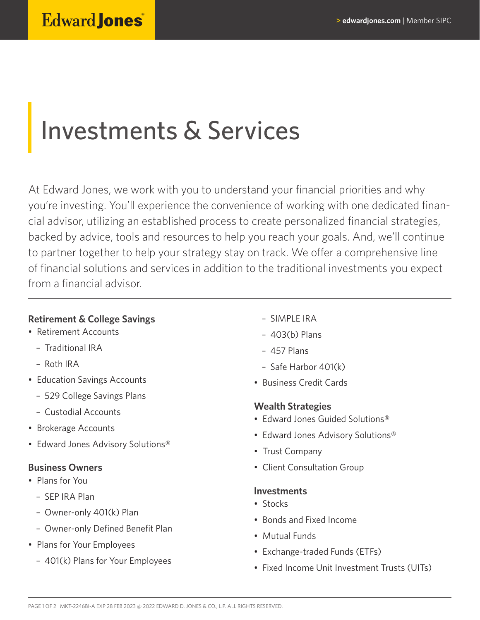# Investments & Services

At Edward Jones, we work with you to understand your financial priorities and why you're investing. You'll experience the convenience of working with one dedicated financial advisor, utilizing an established process to create personalized financial strategies, backed by advice, tools and resources to help you reach your goals. And, we'll continue to partner together to help your strategy stay on track. We offer a comprehensive line of financial solutions and services in addition to the traditional investments you expect from a financial advisor.

## **Retirement & College Savings**

- Retirement Accounts
	- Traditional IRA
	- Roth IRA
- Education Savings Accounts
	- 529 College Savings Plans
	- Custodial Accounts
- Brokerage Accounts
- Edward Jones Advisory Solutions®

### **Business Owners**

- Plans for You
	- SEP IRA Plan
	- Owner-only 401(k) Plan
	- Owner-only Defined Benefit Plan
- Plans for Your Employees
	- 401(k) Plans for Your Employees
- SIMPLE IRA
- 403(b) Plans
- 457 Plans
- Safe Harbor 401(k)
- Business Credit Cards

## **Wealth Strategies**

- Edward Jones Guided Solutions®
- Edward Jones Advisory Solutions®
- Trust Company
- Client Consultation Group

### **Investments**

- Stocks
- Bonds and Fixed Income
- Mutual Funds
- Exchange-traded Funds (ETFs)
- Fixed Income Unit Investment Trusts (UITs)